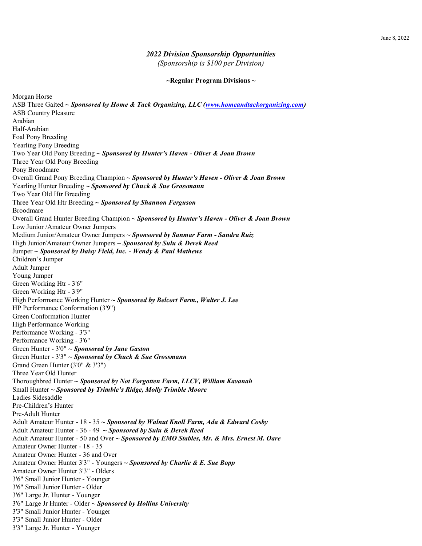## *2022 Division Sponsorship Opportunities*

*(Sponsorship is \$100 per Division)*

## **~Regular Program Divisions ~**

ASB Three Gaited *~ Sponsored by Home & Tack Organizing, LLC (www.homeandtackorganizing.com)* ASB Country Pleasure Arabian Half-Arabian Foal Pony Breeding Yearling Pony Breeding Two Year Old Pony Breeding *~ Sponsored by Hunter's Haven - Oliver & Joan Brown* Three Year Old Pony Breeding Pony Broodmare Overall Grand Pony Breeding Champion *~ Sponsored by Hunter's Haven - Oliver & Joan Brown* Yearling Hunter Breeding *~ Sponsored by Chuck & Sue Grossmann* Two Year Old Htr Breeding Three Year Old Htr Breeding *~ Sponsored by Shannon Ferguson* Broodmare Overall Grand Hunter Breeding Champion *~ Sponsored by Hunter's Haven - Oliver & Joan Brown* Low Junior /Amateur Owner Jumpers Medium Junior/Amateur Owner Jumpers *~ Sponsored by Sanmar Farm - Sandra Ruiz* High Junior/Amateur Owner Jumpers *~ Sponsored by Sulu & Derek Reed* Jumper *~ Sponsored by Daisy Field, Inc. - Wendy & Paul Mathews* Children's Jumper Adult Jumper Young Jumper Green Working Htr - 3'6" Green Working Htr - 3'9" High Performance Working Hunter *~ Sponsored by Belcort Farm., Walter J. Lee* HP Performance Conformation (3'9") Green Conformation Hunter High Performance Working Performance Working - 3'3" Performance Working - 3'6" Green Hunter - 3'0" *~ Sponsored by Jane Gaston*  Green Hunter - 3'3" *~ Sponsored by Chuck & Sue Grossmann* Grand Green Hunter (3'0" & 3'3") Three Year Old Hunter Thoroughbred Hunter *~ Sponsored by Not Forgotten Farm, LLCV, William Kavanah*  Small Hunter *~ Sponsored by Trimble's Ridge, Molly Trimble Moore*  Ladies Sidesaddle Pre-Children's Hunter Pre-Adult Hunter Adult Amateur Hunter - 18 - 35 *~ Sponsored by Walnut Knoll Farm, Ada & Edward Cosby* Adult Amateur Hunter - 36 - 49 *~ Sponsored by Sulu & Derek Reed* Adult Amateur Hunter - 50 and Over *~ Sponsored by EMO Stables, Mr. & Mrs. Ernest M. Oare* Amateur Owner Hunter - 18 - 35 Amateur Owner Hunter - 36 and Over Amateur Owner Hunter 3'3" - Youngers *~ Sponsored by Charlie & E. Sue Bopp* Amateur Owner Hunter 3'3" - Olders 3'6" Small Junior Hunter - Younger 3'6" Small Junior Hunter - Older 3'6" Large Jr. Hunter - Younger 3'6" Large Jr Hunter - Older *~ Sponsored by Hollins University* 3'3" Small Junior Hunter - Younger 3'3" Small Junior Hunter - Older 3'3" Large Jr. Hunter - Younger

Morgan Horse